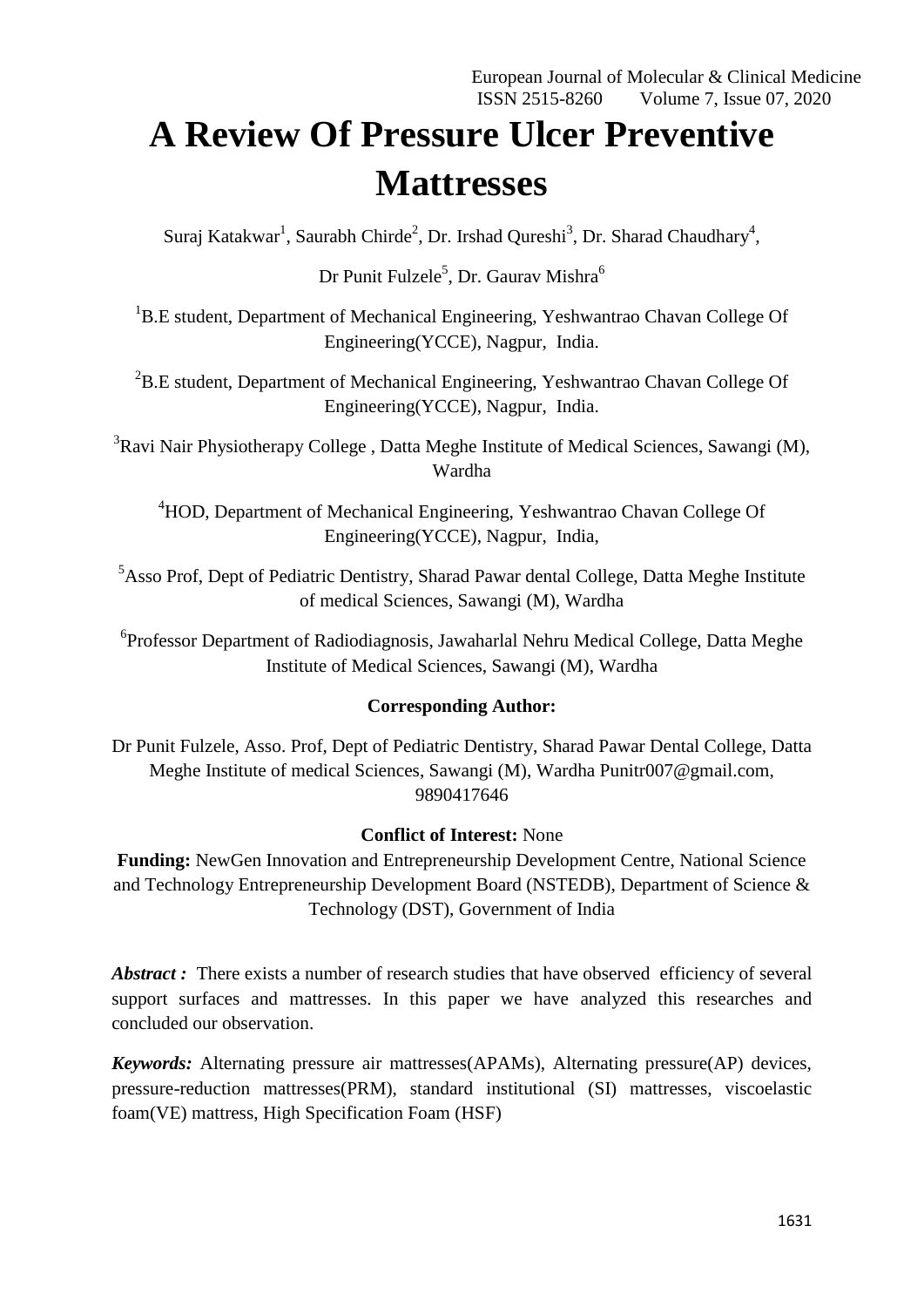# **A Review Of Pressure Ulcer Preventive Mattresses**

Suraj Katakwar<sup>1</sup>, Saurabh Chirde<sup>2</sup>, Dr. Irshad Qureshi<sup>3</sup>, Dr. Sharad Chaudhary<sup>4</sup>,

Dr Punit Fulzele<sup>5</sup>, Dr. Gaurav Mishra<sup>6</sup>

<sup>1</sup>B.E student, Department of Mechanical Engineering, Yeshwantrao Chavan College Of Engineering(YCCE), Nagpur, India.

<sup>2</sup>B.E student, Department of Mechanical Engineering, Yeshwantrao Chavan College Of Engineering(YCCE), Nagpur, India.

<sup>3</sup>Ravi Nair Physiotherapy College, Datta Meghe Institute of Medical Sciences, Sawangi (M), Wardha

<sup>4</sup>HOD, Department of Mechanical Engineering, Yeshwantrao Chavan College Of Engineering(YCCE), Nagpur, India,

<sup>5</sup>Asso Prof, Dept of Pediatric Dentistry, Sharad Pawar dental College, Datta Meghe Institute of medical Sciences, Sawangi (M), Wardha

<sup>6</sup>Professor Department of Radiodiagnosis, Jawaharlal Nehru Medical College, Datta Meghe Institute of Medical Sciences, Sawangi (M), Wardha

## **Corresponding Author:**

Dr Punit Fulzele, Asso. Prof, Dept of Pediatric Dentistry, Sharad Pawar Dental College, Datta Meghe Institute of medical Sciences, Sawangi (M), Wardha Punitr007@gmail.com, 9890417646

## **Conflict of Interest:** None

**Funding:** NewGen Innovation and Entrepreneurship Development Centre, National Science and Technology Entrepreneurship Development Board (NSTEDB), Department of Science & Technology (DST), Government of India

Abstract: There exists a number of research studies that have observed efficiency of several support surfaces and mattresses. In this paper we have analyzed this researches and concluded our observation.

*Keywords:* Alternating pressure air mattresses(APAMs), Alternating pressure(AP) devices, pressure-reduction mattresses(PRM), standard institutional (SI) mattresses, viscoelastic foam(VE) mattress, High Specification Foam (HSF)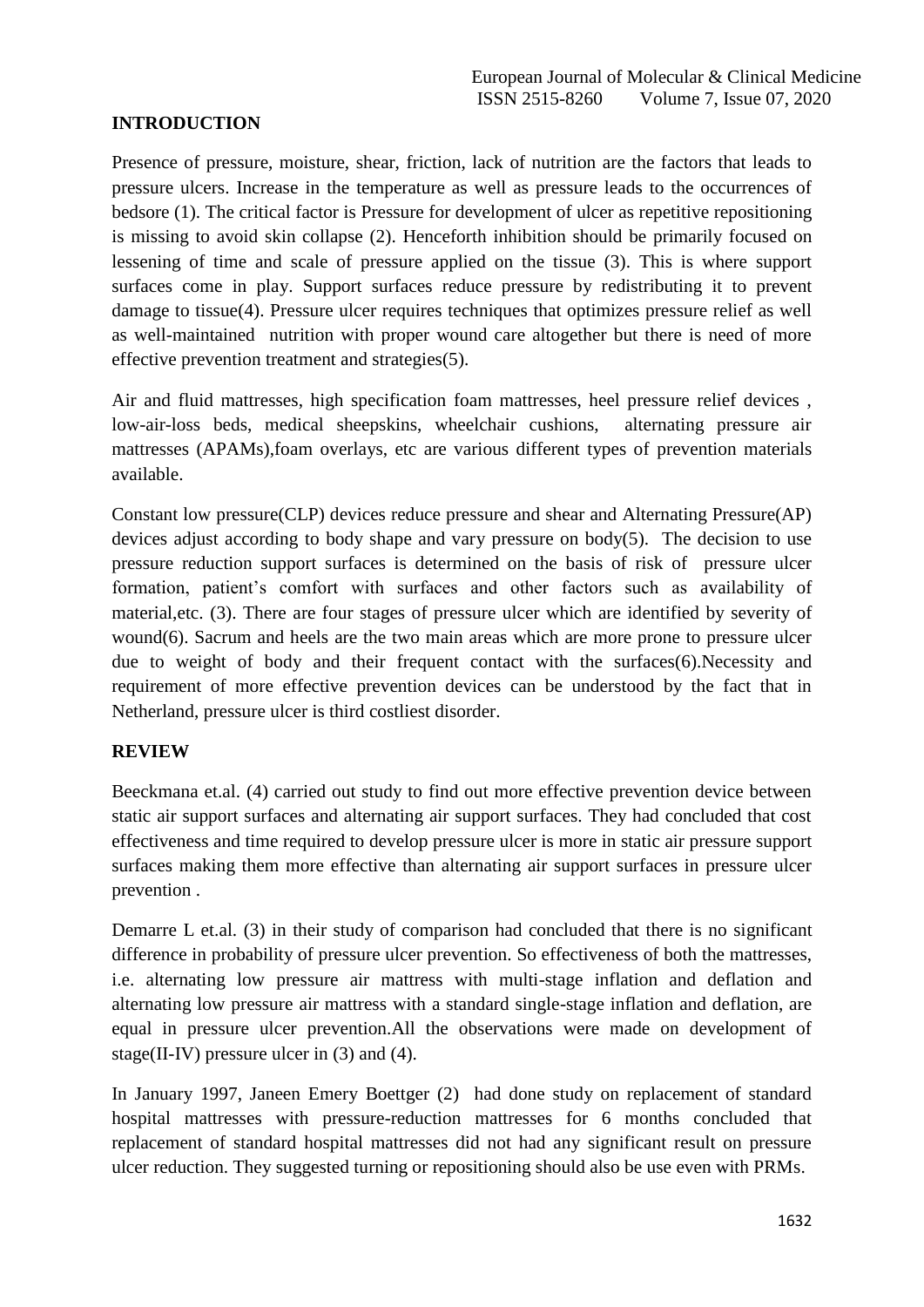## **INTRODUCTION**

Presence of pressure, moisture, shear, friction, lack of nutrition are the factors that leads to pressure ulcers. Increase in the temperature as well as pressure leads to the occurrences of bedsore (1). The critical factor is Pressure for development of ulcer as repetitive repositioning is missing to avoid skin collapse (2). Henceforth inhibition should be primarily focused on lessening of time and scale of pressure applied on the tissue (3). This is where support surfaces come in play. Support surfaces reduce pressure by redistributing it to prevent damage to tissue(4). Pressure ulcer requires techniques that optimizes pressure relief as well as well-maintained nutrition with proper wound care altogether but there is need of more effective prevention treatment and strategies(5).

Air and fluid mattresses, high specification foam mattresses, heel pressure relief devices , low-air-loss beds, medical sheepskins, wheelchair cushions, alternating pressure air mattresses (APAMs),foam overlays, etc are various different types of prevention materials available.

Constant low pressure(CLP) devices reduce pressure and shear and Alternating Pressure(AP) devices adjust according to body shape and vary pressure on body $(5)$ . The decision to use pressure reduction support surfaces is determined on the basis of risk of pressure ulcer formation, patient's comfort with surfaces and other factors such as availability of material,etc. (3). There are four stages of pressure ulcer which are identified by severity of wound(6). Sacrum and heels are the two main areas which are more prone to pressure ulcer due to weight of body and their frequent contact with the surfaces(6).Necessity and requirement of more effective prevention devices can be understood by the fact that in Netherland, pressure ulcer is third costliest disorder.

#### **REVIEW**

Beeckmana et.al. (4) carried out study to find out more effective prevention device between static air support surfaces and alternating air support surfaces. They had concluded that cost effectiveness and time required to develop pressure ulcer is more in static air pressure support surfaces making them more effective than alternating air support surfaces in pressure ulcer prevention .

Demarre L et.al. (3) in their study of comparison had concluded that there is no significant difference in probability of pressure ulcer prevention. So effectiveness of both the mattresses, i.e. alternating low pressure air mattress with multi-stage inflation and deflation and alternating low pressure air mattress with a standard single-stage inflation and deflation, are equal in pressure ulcer prevention.All the observations were made on development of stage(II-IV) pressure ulcer in (3) and (4).

In January 1997, Janeen Emery Boettger (2) had done study on replacement of standard hospital mattresses with pressure-reduction mattresses for 6 months concluded that replacement of standard hospital mattresses did not had any significant result on pressure ulcer reduction. They suggested turning or repositioning should also be use even with PRMs.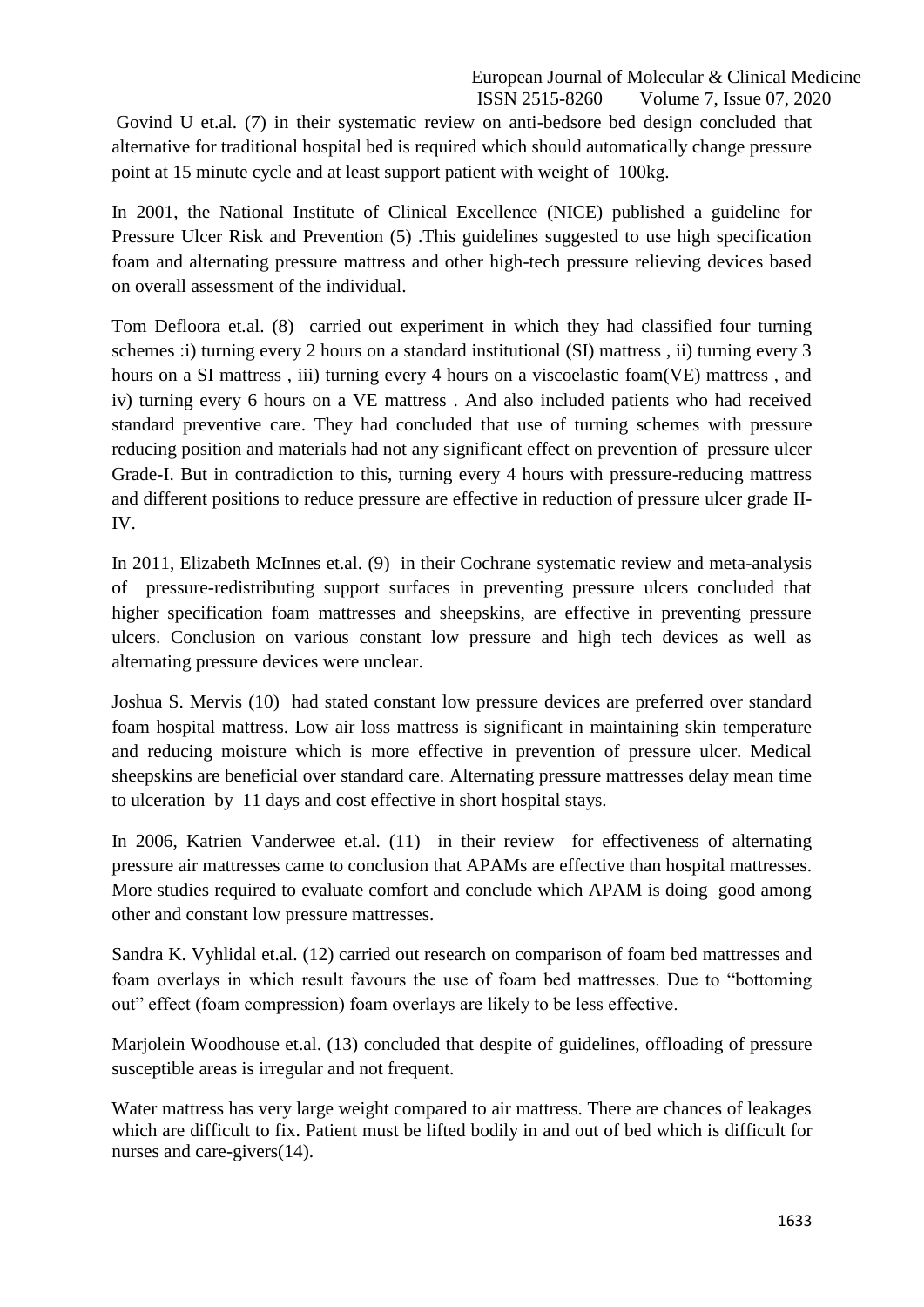Govind U et.al. (7) in their systematic review on anti-bedsore bed design concluded that alternative for traditional hospital bed is required which should automatically change pressure point at 15 minute cycle and at least support patient with weight of 100kg.

In 2001, the National Institute of Clinical Excellence (NICE) published a guideline for Pressure Ulcer Risk and Prevention (5) .This guidelines suggested to use high specification foam and alternating pressure mattress and other high-tech pressure relieving devices based on overall assessment of the individual.

Tom Defloora et.al. (8) carried out experiment in which they had classified four turning schemes :i) turning every 2 hours on a standard institutional (SI) mattress , ii) turning every 3 hours on a SI mattress, iii) turning every 4 hours on a viscoelastic foam(VE) mattress, and iv) turning every 6 hours on a VE mattress . And also included patients who had received standard preventive care. They had concluded that use of turning schemes with pressure reducing position and materials had not any significant effect on prevention of pressure ulcer Grade-I. But in contradiction to this, turning every 4 hours with pressure-reducing mattress and different positions to reduce pressure are effective in reduction of pressure ulcer grade II-IV.

In 2011, Elizabeth McInnes et.al. (9) in their Cochrane systematic review and meta-analysis of pressure-redistributing support surfaces in preventing pressure ulcers concluded that higher specification foam mattresses and sheepskins, are effective in preventing pressure ulcers. Conclusion on various constant low pressure and high tech devices as well as alternating pressure devices were unclear.

Joshua S. Mervis (10) had stated constant low pressure devices are preferred over standard foam hospital mattress. Low air loss mattress is significant in maintaining skin temperature and reducing moisture which is more effective in prevention of pressure ulcer. Medical sheepskins are beneficial over standard care. Alternating pressure mattresses delay mean time to ulceration by 11 days and cost effective in short hospital stays.

In 2006, Katrien Vanderwee et.al. (11) in their review for effectiveness of alternating pressure air mattresses came to conclusion that APAMs are effective than hospital mattresses. More studies required to evaluate comfort and conclude which APAM is doing good among other and constant low pressure mattresses.

Sandra K. Vyhlidal et.al. (12) carried out research on comparison of foam bed mattresses and foam overlays in which result favours the use of foam bed mattresses. Due to "bottoming" out" effect (foam compression) foam overlays are likely to be less effective.

Marjolein Woodhouse et.al. (13) concluded that despite of guidelines, offloading of pressure susceptible areas is irregular and not frequent.

Water mattress has very large weight compared to air mattress. There are chances of leakages which are difficult to fix. Patient must be lifted bodily in and out of bed which is difficult for nurses and care-givers(14).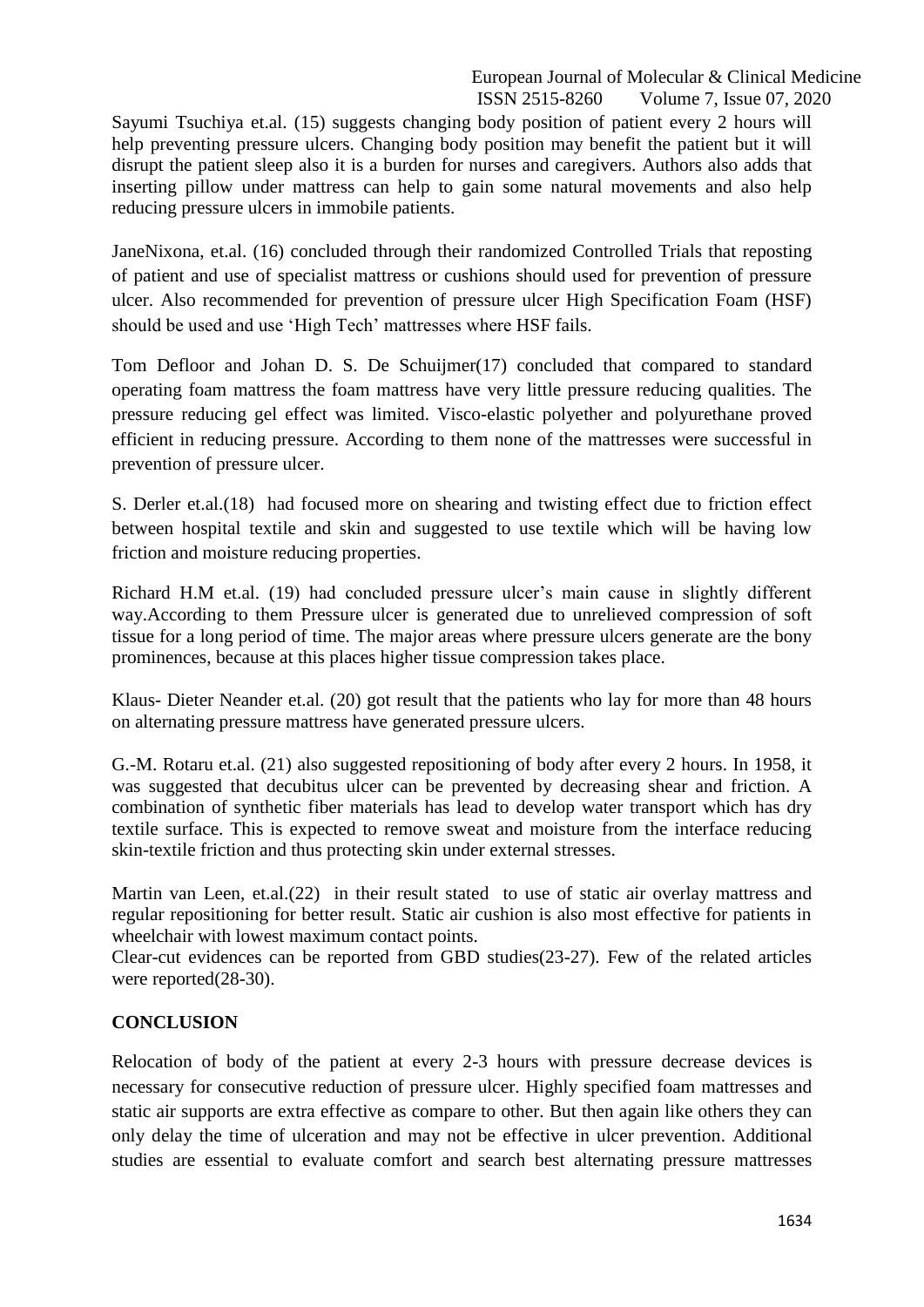Sayumi Tsuchiya et.al. (15) suggests changing body position of patient every 2 hours will help preventing pressure ulcers. Changing body position may benefit the patient but it will disrupt the patient sleep also it is a burden for nurses and caregivers. Authors also adds that inserting pillow under mattress can help to gain some natural movements and also help reducing pressure ulcers in immobile patients.

JaneNixona, et.al. (16) concluded through their randomized Controlled Trials that reposting of patient and use of specialist mattress or cushions should used for prevention of pressure ulcer. Also recommended for prevention of pressure ulcer High Specification Foam (HSF) should be used and use 'High Tech' mattresses where HSF fails.

Tom Defloor and Johan D. S. De Schuijmer(17) concluded that compared to standard operating foam mattress the foam mattress have very little pressure reducing qualities. The pressure reducing gel effect was limited. Visco-elastic polyether and polyurethane proved efficient in reducing pressure. According to them none of the mattresses were successful in prevention of pressure ulcer.

S. Derler et.al.(18) had focused more on shearing and twisting effect due to friction effect between hospital textile and skin and suggested to use textile which will be having low friction and moisture reducing properties.

Richard H.M et.al. (19) had concluded pressure ulcer's main cause in slightly different way.According to them Pressure ulcer is generated due to unrelieved compression of soft tissue for a long period of time. The major areas where pressure ulcers generate are the bony prominences, because at this places higher tissue compression takes place.

Klaus- Dieter Neander et.al. (20) got result that the patients who lay for more than 48 hours on alternating pressure mattress have generated pressure ulcers.

G.-M. Rotaru et.al. (21) also suggested repositioning of body after every 2 hours. In 1958, it was suggested that decubitus ulcer can be prevented by decreasing shear and friction. A combination of synthetic fiber materials has lead to develop water transport which has dry textile surface. This is expected to remove sweat and moisture from the interface reducing skin-textile friction and thus protecting skin under external stresses.

Martin van Leen, et.al.(22) in their result stated to use of static air overlay mattress and regular repositioning for better result. Static air cushion is also most effective for patients in wheelchair with lowest maximum contact points.

Clear-cut evidences can be reported from GBD studies(23-27). Few of the related articles were reported(28-30).

## **CONCLUSION**

Relocation of body of the patient at every 2-3 hours with pressure decrease devices is necessary for consecutive reduction of pressure ulcer. Highly specified foam mattresses and static air supports are extra effective as compare to other. But then again like others they can only delay the time of ulceration and may not be effective in ulcer prevention. Additional studies are essential to evaluate comfort and search best alternating pressure mattresses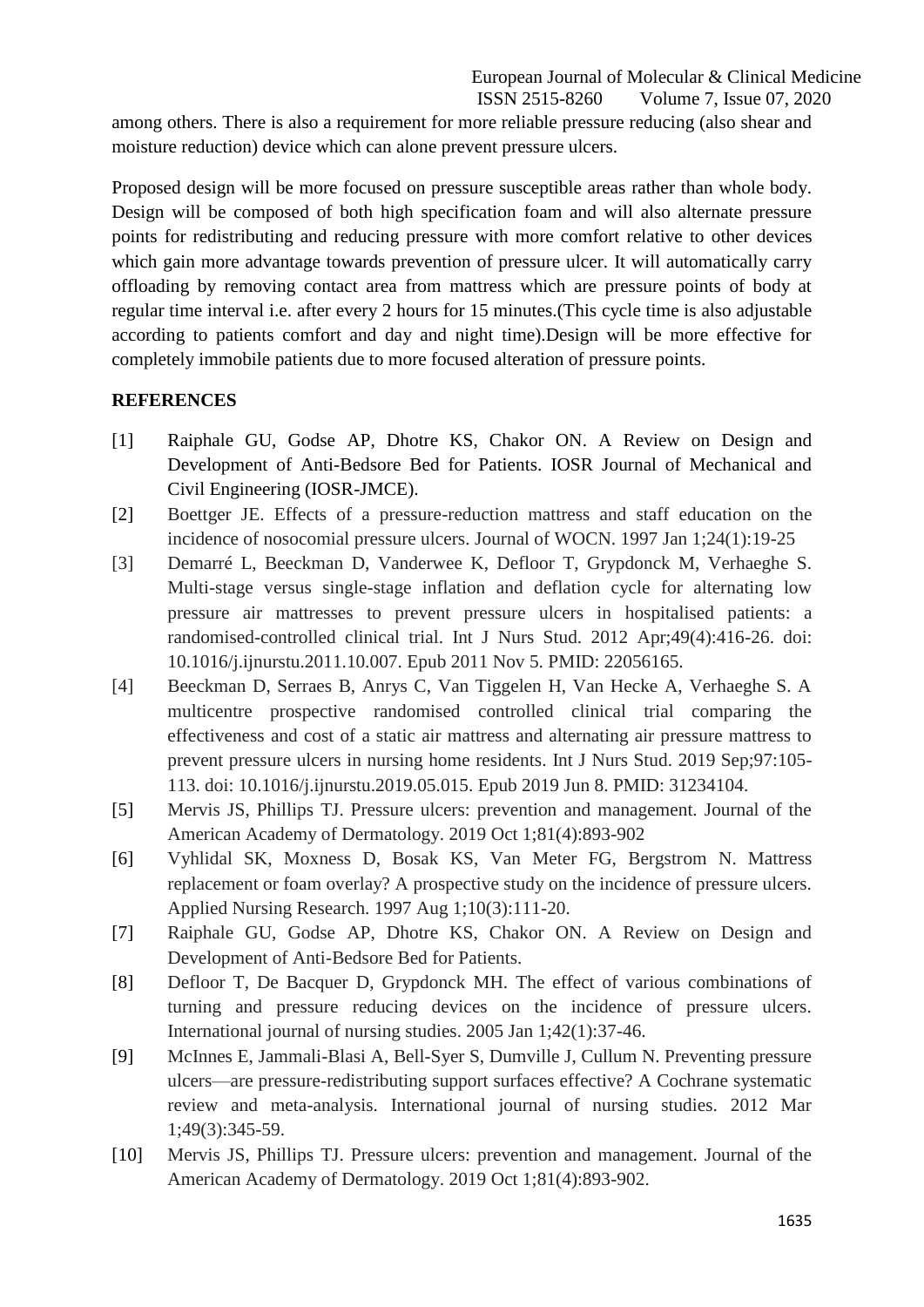among others. There is also a requirement for more reliable pressure reducing (also shear and moisture reduction) device which can alone prevent pressure ulcers.

Proposed design will be more focused on pressure susceptible areas rather than whole body. Design will be composed of both high specification foam and will also alternate pressure points for redistributing and reducing pressure with more comfort relative to other devices which gain more advantage towards prevention of pressure ulcer. It will automatically carry offloading by removing contact area from mattress which are pressure points of body at regular time interval i.e. after every 2 hours for 15 minutes.(This cycle time is also adjustable according to patients comfort and day and night time).Design will be more effective for completely immobile patients due to more focused alteration of pressure points.

#### **REFERENCES**

- [1] Raiphale GU, Godse AP, Dhotre KS, Chakor ON. A Review on Design and Development of Anti-Bedsore Bed for Patients. IOSR Journal of Mechanical and Civil Engineering (IOSR-JMCE).
- [2] Boettger JE. Effects of a pressure-reduction mattress and staff education on the incidence of nosocomial pressure ulcers. Journal of WOCN. 1997 Jan 1;24(1):19-25
- [3] Demarré L, Beeckman D, Vanderwee K, Defloor T, Grypdonck M, Verhaeghe S. Multi-stage versus single-stage inflation and deflation cycle for alternating low pressure air mattresses to prevent pressure ulcers in hospitalised patients: a randomised-controlled clinical trial. Int J Nurs Stud. 2012 Apr;49(4):416-26. doi: 10.1016/j.ijnurstu.2011.10.007. Epub 2011 Nov 5. PMID: 22056165.
- [4] Beeckman D, Serraes B, Anrys C, Van Tiggelen H, Van Hecke A, Verhaeghe S. A multicentre prospective randomised controlled clinical trial comparing the effectiveness and cost of a static air mattress and alternating air pressure mattress to prevent pressure ulcers in nursing home residents. Int J Nurs Stud. 2019 Sep;97:105- 113. doi: 10.1016/j.ijnurstu.2019.05.015. Epub 2019 Jun 8. PMID: 31234104.
- [5] Mervis JS, Phillips TJ. Pressure ulcers: prevention and management. Journal of the American Academy of Dermatology. 2019 Oct 1;81(4):893-902
- [6] Vyhlidal SK, Moxness D, Bosak KS, Van Meter FG, Bergstrom N. Mattress replacement or foam overlay? A prospective study on the incidence of pressure ulcers. Applied Nursing Research. 1997 Aug 1;10(3):111-20.
- [7] Raiphale GU, Godse AP, Dhotre KS, Chakor ON. A Review on Design and Development of Anti-Bedsore Bed for Patients.
- [8] Defloor T, De Bacquer D, Grypdonck MH. The effect of various combinations of turning and pressure reducing devices on the incidence of pressure ulcers. International journal of nursing studies. 2005 Jan 1;42(1):37-46.
- [9] McInnes E, Jammali-Blasi A, Bell-Syer S, Dumville J, Cullum N. Preventing pressure ulcers—are pressure-redistributing support surfaces effective? A Cochrane systematic review and meta-analysis. International journal of nursing studies. 2012 Mar 1;49(3):345-59.
- [10] Mervis JS, Phillips TJ. Pressure ulcers: prevention and management. Journal of the American Academy of Dermatology. 2019 Oct 1;81(4):893-902.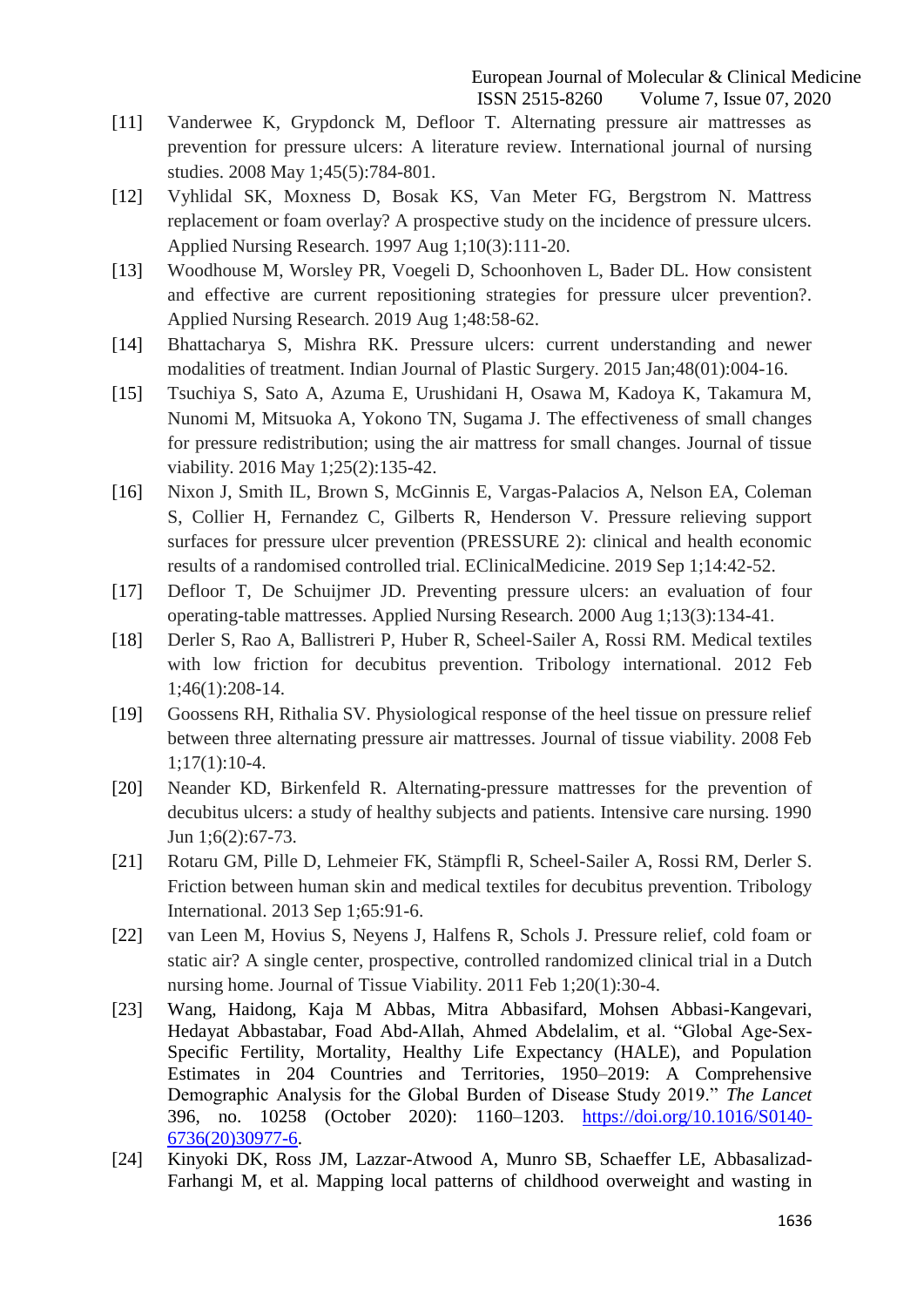- [11] Vanderwee K, Grypdonck M, Defloor T. Alternating pressure air mattresses as prevention for pressure ulcers: A literature review. International journal of nursing studies. 2008 May 1;45(5):784-801.
- [12] Vyhlidal SK, Moxness D, Bosak KS, Van Meter FG, Bergstrom N. Mattress replacement or foam overlay? A prospective study on the incidence of pressure ulcers. Applied Nursing Research. 1997 Aug 1;10(3):111-20.
- [13] Woodhouse M, Worsley PR, Voegeli D, Schoonhoven L, Bader DL. How consistent and effective are current repositioning strategies for pressure ulcer prevention?. Applied Nursing Research. 2019 Aug 1;48:58-62.
- [14] Bhattacharya S, Mishra RK. Pressure ulcers: current understanding and newer modalities of treatment. Indian Journal of Plastic Surgery. 2015 Jan;48(01):004-16.
- [15] Tsuchiya S, Sato A, Azuma E, Urushidani H, Osawa M, Kadoya K, Takamura M, Nunomi M, Mitsuoka A, Yokono TN, Sugama J. The effectiveness of small changes for pressure redistribution; using the air mattress for small changes. Journal of tissue viability. 2016 May 1;25(2):135-42.
- [16] Nixon J, Smith IL, Brown S, McGinnis E, Vargas-Palacios A, Nelson EA, Coleman S, Collier H, Fernandez C, Gilberts R, Henderson V. Pressure relieving support surfaces for pressure ulcer prevention (PRESSURE 2): clinical and health economic results of a randomised controlled trial. EClinicalMedicine. 2019 Sep 1;14:42-52.
- [17] Defloor T, De Schuijmer JD. Preventing pressure ulcers: an evaluation of four operating-table mattresses. Applied Nursing Research. 2000 Aug 1;13(3):134-41.
- [18] Derler S, Rao A, Ballistreri P, Huber R, Scheel-Sailer A, Rossi RM. Medical textiles with low friction for decubitus prevention. Tribology international. 2012 Feb 1;46(1):208-14.
- [19] Goossens RH, Rithalia SV. Physiological response of the heel tissue on pressure relief between three alternating pressure air mattresses. Journal of tissue viability. 2008 Feb 1;17(1):10-4.
- [20] Neander KD, Birkenfeld R. Alternating-pressure mattresses for the prevention of decubitus ulcers: a study of healthy subjects and patients. Intensive care nursing. 1990 Jun 1;6(2):67-73.
- [21] Rotaru GM, Pille D, Lehmeier FK, Stämpfli R, Scheel-Sailer A, Rossi RM, Derler S. Friction between human skin and medical textiles for decubitus prevention. Tribology International. 2013 Sep 1;65:91-6.
- [22] van Leen M, Hovius S, Neyens J, Halfens R, Schols J. Pressure relief, cold foam or static air? A single center, prospective, controlled randomized clinical trial in a Dutch nursing home. Journal of Tissue Viability. 2011 Feb 1;20(1):30-4.
- [23] Wang, Haidong, Kaja M Abbas, Mitra Abbasifard, Mohsen Abbasi-Kangevari, Hedayat Abbastabar, Foad Abd-Allah, Ahmed Abdelalim, et al. "Global Age-Sex-Specific Fertility, Mortality, Healthy Life Expectancy (HALE), and Population Estimates in 204 Countries and Territories, 1950–2019: A Comprehensive Demographic Analysis for the Global Burden of Disease Study 2019." The Lancet 396, no. 10258 (October 2020): 1160–1203. [https://doi.org/10.1016/S0140-](https://doi.org/10.1016/S0140-6736(20)30977-6) [6736\(20\)30977-6.](https://doi.org/10.1016/S0140-6736(20)30977-6)
- [24] Kinyoki DK, Ross JM, Lazzar-Atwood A, Munro SB, Schaeffer LE, Abbasalizad-Farhangi M, et al. Mapping local patterns of childhood overweight and wasting in